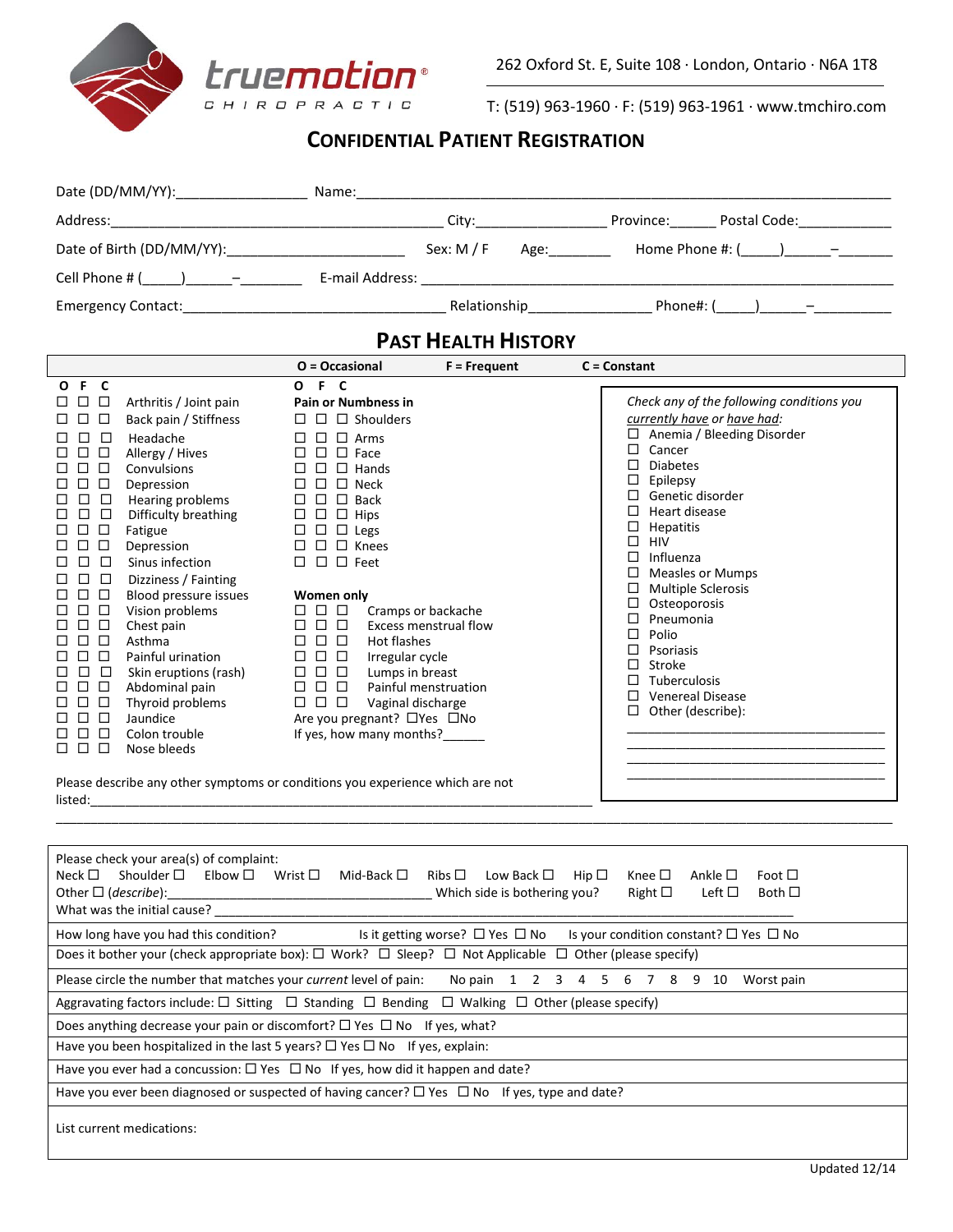

T: (519) 963-1960 · F: (519) 963-1961 · www.tmchiro.com

# **CONFIDENTIAL PATIENT REGISTRATION**

|                           | Name:                                                                                                         |                                                                                                                                                                                                                                |                                                                                                                |                            |  |
|---------------------------|---------------------------------------------------------------------------------------------------------------|--------------------------------------------------------------------------------------------------------------------------------------------------------------------------------------------------------------------------------|----------------------------------------------------------------------------------------------------------------|----------------------------|--|
|                           |                                                                                                               | City: the contract of the contract of the contract of the contract of the contract of the contract of the contract of the contract of the contract of the contract of the contract of the contract of the contract of the cont |                                                                                                                | Province: Postal Code:     |  |
| Date of Birth (DD/MM/YY): |                                                                                                               | Sex: $M / F$                                                                                                                                                                                                                   | Age: and the set of the set of the set of the set of the set of the set of the set of the set of the set of th | Home Phone #: $($ $)$ $ -$ |  |
| Cell Phone # $($ $)$ $-$  | E-mail Address: 2008. 2009. 2009. 2010. 2010. 2010. 2010. 2010. 2010. 2010. 2011. 2012. 2014. 2016. 2017. 201 |                                                                                                                                                                                                                                |                                                                                                                |                            |  |
| Emergency Contact:        |                                                                                                               |                                                                                                                                                                                                                                | Relationship                                                                                                   | Phone#: $($ ) $-$          |  |

## **PAST HEALTH HISTORY**

|                                                                                                                                                                                                                                                                                                                                                                                                      |                                                                                                                                                                                                                                                                                                                                                                                                                                                  | $O = Occasional$                                                                                                                                                                                                                                                                                                                                                                                                                                                                                                                                   | $F = Frequent$ | $C =$ Constant                                                                                                                                                                                                                                                                                                                                                                                                                                                                  |
|------------------------------------------------------------------------------------------------------------------------------------------------------------------------------------------------------------------------------------------------------------------------------------------------------------------------------------------------------------------------------------------------------|--------------------------------------------------------------------------------------------------------------------------------------------------------------------------------------------------------------------------------------------------------------------------------------------------------------------------------------------------------------------------------------------------------------------------------------------------|----------------------------------------------------------------------------------------------------------------------------------------------------------------------------------------------------------------------------------------------------------------------------------------------------------------------------------------------------------------------------------------------------------------------------------------------------------------------------------------------------------------------------------------------------|----------------|---------------------------------------------------------------------------------------------------------------------------------------------------------------------------------------------------------------------------------------------------------------------------------------------------------------------------------------------------------------------------------------------------------------------------------------------------------------------------------|
| F C<br>$\mathbf{o}$<br>$\Box$<br>□<br>$\Box$<br>П<br>$\Box$<br>П<br>П<br>$\Box$<br>$\Box$<br>□<br>□<br>$\Box$<br>□<br>□<br>□<br>□<br>□<br>Fatigue<br>$\Box$<br>$\Box$<br>$\Box$<br>$\Box$<br>П<br>П<br>$\Box$<br>□<br>$\Box$<br>$\Box$<br>$\Box$<br>П<br>$\Box$<br>Asthma<br>$\Box$<br>$\Box$<br>□<br>$\Box$<br>$\Box$<br>□<br>П<br>$\Box$<br>Jaundice<br>П<br>$\Box$<br>П<br>$\Box$<br>$\Box$<br>П. | Arthritis / Joint pain<br>Back pain / Stiffness<br>$\Box$<br>Headache<br>Allergy / Hives<br>Convulsions<br>Depression<br>□<br>Hearing problems<br>Difficulty breathing<br>Depression<br>Sinus infection<br>п<br>Dizziness / Fainting<br>Blood pressure issues<br>Vision problems<br>Chest pain<br>п<br>□<br>Painful urination<br>□<br>Skin eruptions (rash)<br>□<br>Abdominal pain<br>П<br>Thyroid problems<br>□<br>Colon trouble<br>Nose bleeds | OFC<br><b>Pain or Numbness in</b><br>$\Box$ Shoulders<br>$\Box$<br>Arms<br>П<br>П<br>Face<br>П<br>□<br>Hands<br>□<br>Neck<br>ப<br>$\Box$<br><b>Back</b><br>Hips<br>□<br>$\Box$ Legs<br>$\Box$<br>Knees<br>$\square$ Feet<br>П<br>Women only<br>□<br>□<br>Cramps or backache<br>$\Box$<br>П<br>Excess menstrual flow<br>Hot flashes<br>□<br>$\Box$<br>□<br>□<br>Irregular cycle<br>Lumps in breast<br>□<br>□<br>Painful menstruation<br>$\Box$<br>П<br>$\Box$<br>Vaginal discharge<br>□<br>Are you pregnant? □ Yes □ No<br>If yes, how many months? |                | Check any of the following conditions you<br>currently have or have had:<br>Anemia / Bleeding Disorder<br>□<br>Cancer<br>□<br><b>Diabetes</b><br>П<br>Epilepsy<br>⊔<br>Genetic disorder<br>П<br>Heart disease<br>п<br><b>Hepatitis</b><br>HIV<br>⊔<br>Influenza<br>П<br><b>Measles or Mumps</b><br><b>Multiple Sclerosis</b><br>Osteoporosis<br>Pneumonia<br>Polio<br>П<br>Psoriasis<br><b>Stroke</b><br>П<br>Tuberculosis<br><b>Venereal Disease</b><br>Other (describe):<br>◻ |
| listed:                                                                                                                                                                                                                                                                                                                                                                                              | Please describe any other symptoms or conditions you experience which are not                                                                                                                                                                                                                                                                                                                                                                    |                                                                                                                                                                                                                                                                                                                                                                                                                                                                                                                                                    |                |                                                                                                                                                                                                                                                                                                                                                                                                                                                                                 |

| Please check your area(s) of complaint:<br>Shoulder $\square$ Elbow $\square$<br>Neck $\Box$<br>Wrist $\Box$<br>Low Back $\square$ Hip $\square$<br>Mid-Back □<br>Ribs $\Box$<br>Knee $\Box$<br>Ankle $\square$<br>Foot $\square$<br>Other $\Box$ ( <i>describe</i> ):<br>Which side is bothering you?<br>Right $\square$<br>Left $\Box$<br>Both $\Box$<br>What was the initial cause? |  |  |  |  |
|----------------------------------------------------------------------------------------------------------------------------------------------------------------------------------------------------------------------------------------------------------------------------------------------------------------------------------------------------------------------------------------|--|--|--|--|
| Is it getting worse? $\Box$ Yes $\Box$ No<br>Is your condition constant? $\square$ Yes $\square$ No<br>How long have you had this condition?                                                                                                                                                                                                                                           |  |  |  |  |
| Does it bother your (check appropriate box): $\Box$ Work? $\Box$ Sleep? $\Box$ Not Applicable $\Box$ Other (please specify)                                                                                                                                                                                                                                                            |  |  |  |  |
| No pain 1 2 3 4 5 6 7 8 9 10<br>Please circle the number that matches your current level of pain:<br>Worst pain                                                                                                                                                                                                                                                                        |  |  |  |  |
| Aggravating factors include: $\square$ Sitting $\square$ Standing $\square$ Bending $\square$ Walking $\square$ Other (please specify)                                                                                                                                                                                                                                                 |  |  |  |  |
| Does anything decrease your pain or discomfort? $\square$ Yes $\square$ No If yes, what?                                                                                                                                                                                                                                                                                               |  |  |  |  |
| Have you been hospitalized in the last 5 years? $\square$ Yes $\square$ No If yes, explain:                                                                                                                                                                                                                                                                                            |  |  |  |  |
| Have you ever had a concussion: $\square$ Yes $\square$ No If yes, how did it happen and date?                                                                                                                                                                                                                                                                                         |  |  |  |  |
| Have you ever been diagnosed or suspected of having cancer? $\Box$ Yes $\Box$ No If yes, type and date?                                                                                                                                                                                                                                                                                |  |  |  |  |
| List current medications:                                                                                                                                                                                                                                                                                                                                                              |  |  |  |  |

\_\_\_\_\_\_\_\_\_\_\_\_\_\_\_\_\_\_\_\_\_\_\_\_\_\_\_\_\_\_\_\_\_\_\_\_\_\_\_\_\_\_\_\_\_\_\_\_\_\_\_\_\_\_\_\_\_\_\_\_\_\_\_\_\_\_\_\_\_\_\_\_\_\_\_\_\_\_\_\_\_\_\_\_\_\_\_\_\_\_\_\_\_\_\_\_\_\_\_\_\_\_\_\_\_\_\_\_\_\_\_\_\_\_\_\_\_\_\_\_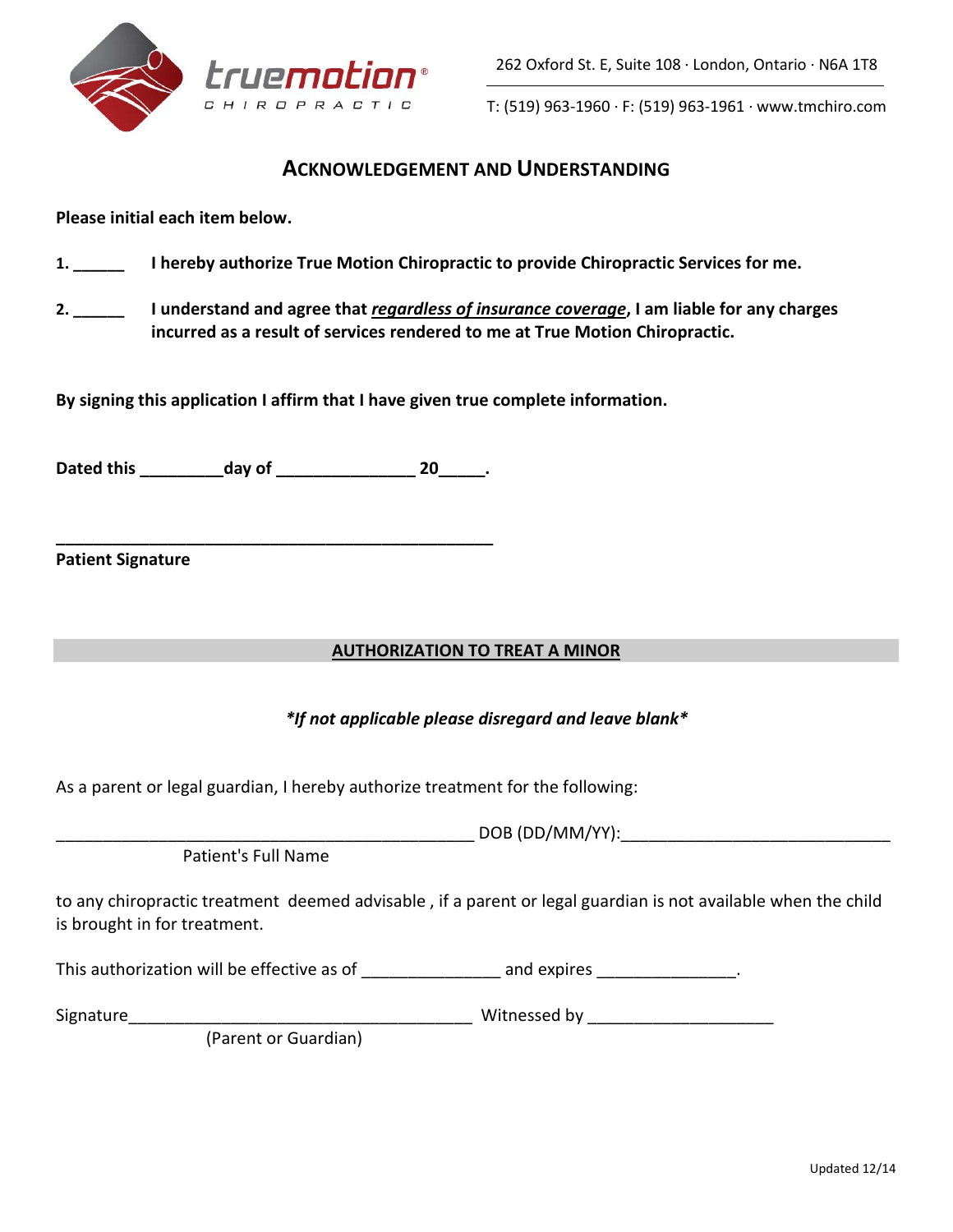

T: (519) 963-1960 · F: (519) 963-1961 · www.tmchiro.com

### **ACKNOWLEDGEMENT AND UNDERSTANDING**

**Please initial each item below.**

- **1. \_\_\_\_\_\_ I hereby authorize True Motion Chiropractic to provide Chiropractic Services for me.**
- **2. \_\_\_\_\_\_ I understand and agree that** *regardless of insurance coverage***, I am liable for any charges incurred as a result of services rendered to me at True Motion Chiropractic.**

**By signing this application I affirm that I have given true complete information.**

**Dated this \_\_\_\_\_\_\_\_\_day of \_\_\_\_\_\_\_\_\_\_\_\_\_\_\_ 20\_\_\_\_\_.**

**\_\_\_\_\_\_\_\_\_\_\_\_\_\_\_\_\_\_\_\_\_\_\_\_\_\_\_\_\_\_\_\_\_\_\_\_\_\_\_\_\_\_\_\_\_\_\_**

**Patient Signature**

### **AUTHORIZATION TO TREAT A MINOR**

### *\*If not applicable please disregard and leave blank\**

As a parent or legal guardian, I hereby authorize treatment for the following:

Patient's Full Name

to any chiropractic treatment deemed advisable , if a parent or legal guardian is not available when the child is brought in for treatment.

| This authorization will be effective as of | and expires |
|--------------------------------------------|-------------|
|                                            |             |

Signature\_\_\_\_\_\_\_\_\_\_\_\_\_\_\_\_\_\_\_\_\_\_\_\_\_\_\_\_\_\_\_\_\_\_\_\_\_ Witnessed by \_\_\_\_\_\_\_\_\_\_\_\_\_\_\_\_\_\_\_\_

(Parent or Guardian)